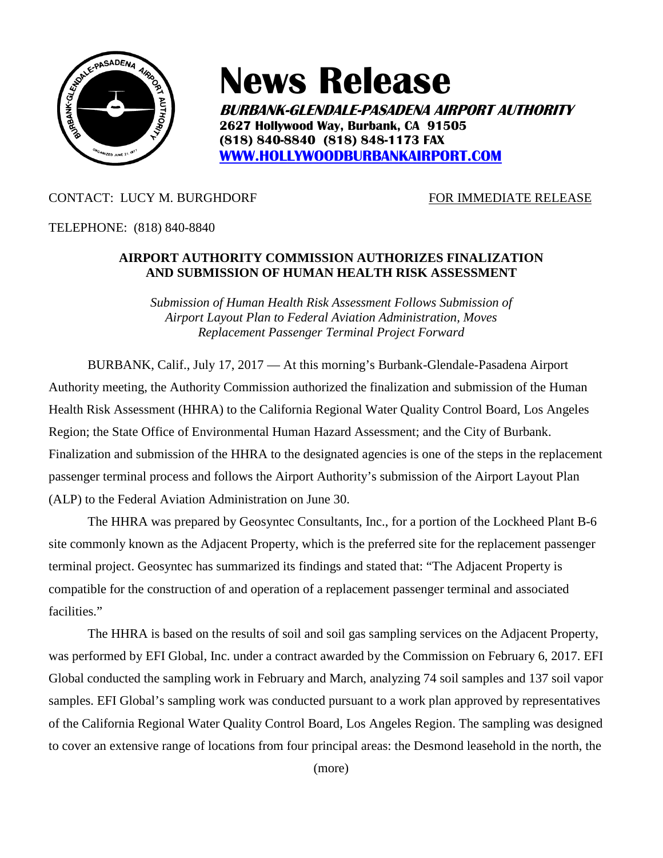

# **News Release**

**BURBANK-GLENDALE-PASADENA AIRPORT AUTHORITY 2627 Hollywood Way, Burbank, CA 91505 (818) 840-8840 (818) 848-1173 FAX [WWW.HOLLYWOODBURBANKAIRPORT.COM](http://www.hollywoodburbankairport.com/)**

# CONTACT: LUCY M. BURGHDORF FOR IMMEDIATE RELEASE

TELEPHONE: (818) 840-8840

### **AIRPORT AUTHORITY COMMISSION AUTHORIZES FINALIZATION AND SUBMISSION OF HUMAN HEALTH RISK ASSESSMENT**

*Submission of Human Health Risk Assessment Follows Submission of Airport Layout Plan to Federal Aviation Administration, Moves Replacement Passenger Terminal Project Forward*

BURBANK, Calif., July 17, 2017 — At this morning's Burbank-Glendale-Pasadena Airport Authority meeting, the Authority Commission authorized the finalization and submission of the Human Health Risk Assessment (HHRA) to the California Regional Water Quality Control Board, Los Angeles Region; the State Office of Environmental Human Hazard Assessment; and the City of Burbank. Finalization and submission of the HHRA to the designated agencies is one of the steps in the replacement passenger terminal process and follows the Airport Authority's submission of the Airport Layout Plan (ALP) to the Federal Aviation Administration on June 30.

The HHRA was prepared by Geosyntec Consultants, Inc., for a portion of the Lockheed Plant B-6 site commonly known as the Adjacent Property, which is the preferred site for the replacement passenger terminal project. Geosyntec has summarized its findings and stated that: "The Adjacent Property is compatible for the construction of and operation of a replacement passenger terminal and associated facilities."

The HHRA is based on the results of soil and soil gas sampling services on the Adjacent Property, was performed by EFI Global, Inc. under a contract awarded by the Commission on February 6, 2017. EFI Global conducted the sampling work in February and March, analyzing 74 soil samples and 137 soil vapor samples. EFI Global's sampling work was conducted pursuant to a work plan approved by representatives of the California Regional Water Quality Control Board, Los Angeles Region. The sampling was designed to cover an extensive range of locations from four principal areas: the Desmond leasehold in the north, the

(more)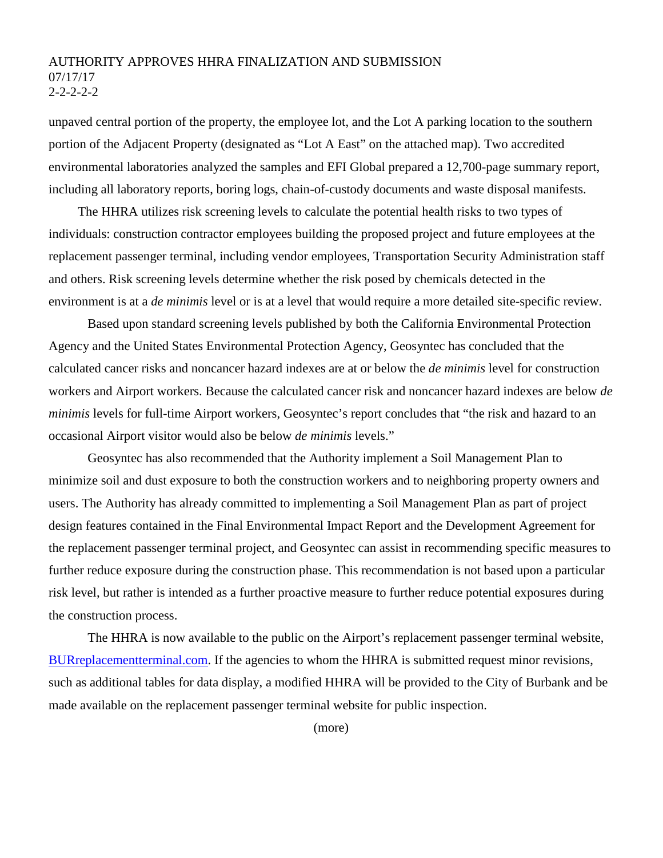### AUTHORITY APPROVES HHRA FINALIZATION AND SUBMISSION 07/17/17  $2 - 2 - 2 - 2$

unpaved central portion of the property, the employee lot, and the Lot A parking location to the southern portion of the Adjacent Property (designated as "Lot A East" on the attached map). Two accredited environmental laboratories analyzed the samples and EFI Global prepared a 12,700-page summary report, including all laboratory reports, boring logs, chain-of-custody documents and waste disposal manifests.

The HHRA utilizes risk screening levels to calculate the potential health risks to two types of individuals: construction contractor employees building the proposed project and future employees at the replacement passenger terminal, including vendor employees, Transportation Security Administration staff and others. Risk screening levels determine whether the risk posed by chemicals detected in the environment is at a *de minimis* level or is at a level that would require a more detailed site-specific review.

Based upon standard screening levels published by both the California Environmental Protection Agency and the United States Environmental Protection Agency, Geosyntec has concluded that the calculated cancer risks and noncancer hazard indexes are at or below the *de minimis* level for construction workers and Airport workers. Because the calculated cancer risk and noncancer hazard indexes are below *de minimis* levels for full-time Airport workers, Geosyntec's report concludes that "the risk and hazard to an occasional Airport visitor would also be below *de minimis* levels."

Geosyntec has also recommended that the Authority implement a Soil Management Plan to minimize soil and dust exposure to both the construction workers and to neighboring property owners and users. The Authority has already committed to implementing a Soil Management Plan as part of project design features contained in the Final Environmental Impact Report and the Development Agreement for the replacement passenger terminal project, and Geosyntec can assist in recommending specific measures to further reduce exposure during the construction phase. This recommendation is not based upon a particular risk level, but rather is intended as a further proactive measure to further reduce potential exposures during the construction process.

The HHRA is now available to the public on the Airport's replacement passenger terminal website, [BURreplacementterminal.com.](http://www.burreplacementterminal.com/) If the agencies to whom the HHRA is submitted request minor revisions, such as additional tables for data display, a modified HHRA will be provided to the City of Burbank and be made available on the replacement passenger terminal website for public inspection.

(more)